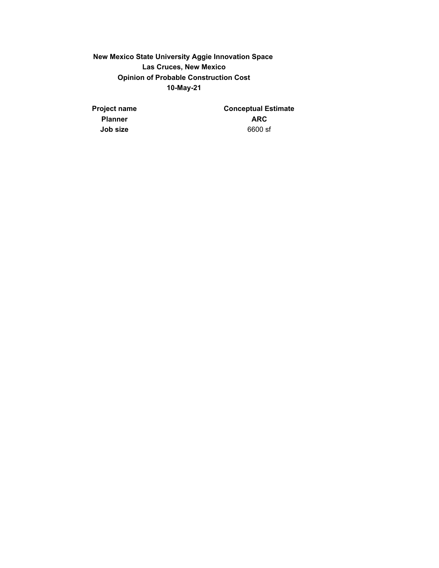**New Mexico State University Aggie Innovation Space Las Cruces, New Mexico Opinion of Probable Construction Cost 10-May-21**

**Project name Conceptual Estimate Planner** ARC **Job size** 6600 sf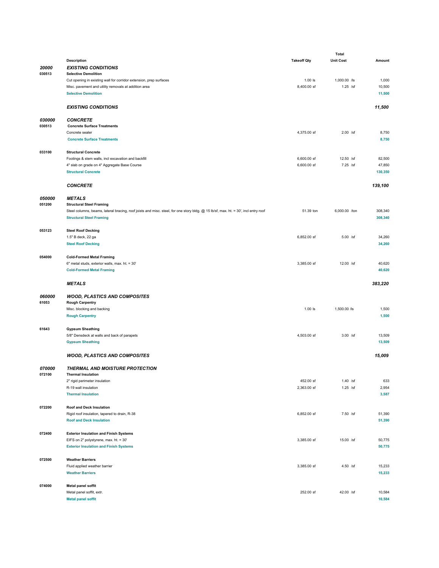|        |                                                                                                                                     |                    | Total            |                  |
|--------|-------------------------------------------------------------------------------------------------------------------------------------|--------------------|------------------|------------------|
|        | <b>Description</b>                                                                                                                  | <b>Takeoff Qty</b> | <b>Unit Cost</b> | Amount           |
| 20000  | <b>EXISTING CONDITIONS</b>                                                                                                          |                    |                  |                  |
| 030513 | <b>Selective Demolition</b>                                                                                                         |                    |                  |                  |
|        |                                                                                                                                     |                    |                  |                  |
|        | Cut opening in existing wall for corridor extension, prep surfaces                                                                  | $1.00$ $ls$        | 1,000.00 /ls     | 1,000            |
|        | Misc. pavement and utility removals at addition area                                                                                | 8,400.00 sf        | $1.25$ /sf       | 10,500           |
|        | <b>Selective Demolition</b>                                                                                                         |                    |                  | 11,500           |
|        |                                                                                                                                     |                    |                  |                  |
|        | <b>EXISTING CONDITIONS</b>                                                                                                          |                    |                  | 11,500           |
|        |                                                                                                                                     |                    |                  |                  |
| 030000 | <b>CONCRETE</b>                                                                                                                     |                    |                  |                  |
| 030513 | <b>Concrete Surface Treatments</b>                                                                                                  |                    |                  |                  |
|        |                                                                                                                                     |                    |                  |                  |
|        | Concrete sealer                                                                                                                     | 4,375.00 sf        | 2.00 /sf         | 8,750            |
|        | <b>Concrete Surface Treatments</b>                                                                                                  |                    |                  | 8,750            |
|        |                                                                                                                                     |                    |                  |                  |
| 033100 | <b>Structural Concrete</b>                                                                                                          |                    |                  |                  |
|        | Footings & stem walls, incl excavation and backfill                                                                                 | 6,600.00 sf        | 12.50 /sf        | 82,500           |
|        | 4" slab on grade on 4" Aggregate Base Course                                                                                        | 6,600.00 sf        | 7.25 /sf         | 47,850           |
|        | <b>Structural Concrete</b>                                                                                                          |                    |                  | 130,350          |
|        |                                                                                                                                     |                    |                  |                  |
|        |                                                                                                                                     |                    |                  |                  |
|        | <b>CONCRETE</b>                                                                                                                     |                    |                  | 139,100          |
|        |                                                                                                                                     |                    |                  |                  |
| 050000 | <b>METALS</b>                                                                                                                       |                    |                  |                  |
| 051200 | <b>Structural Steel Framing</b>                                                                                                     |                    |                  |                  |
|        | Steel columns, beams, lateral bracing, roof joists and misc. steel, for one story bldg. @ 15 lb/sf, max. ht. = 30', incl entry roof | 51.39 ton          | 6,000.00 /ton    | 308,340          |
|        | <b>Structural Steel Framing</b>                                                                                                     |                    |                  | 308,340          |
|        |                                                                                                                                     |                    |                  |                  |
|        |                                                                                                                                     |                    |                  |                  |
| 053123 | <b>Steel Roof Decking</b>                                                                                                           |                    |                  |                  |
|        | 1.5" B deck, 22 ga                                                                                                                  | 6,852.00 sf        | $5.00$ /sf       | 34,260           |
|        | <b>Steel Roof Decking</b>                                                                                                           |                    |                  | 34,260           |
|        |                                                                                                                                     |                    |                  |                  |
| 054000 | <b>Cold-Formed Metal Framing</b>                                                                                                    |                    |                  |                  |
|        | 6" metal studs, exterior walls, max. ht. = 30'                                                                                      | 3,385.00 sf        | 12.00 /sf        | 40,620           |
|        | <b>Cold-Formed Metal Framing</b>                                                                                                    |                    |                  | 40,620           |
|        |                                                                                                                                     |                    |                  |                  |
|        |                                                                                                                                     |                    |                  |                  |
|        |                                                                                                                                     |                    |                  |                  |
|        | <b>METALS</b>                                                                                                                       |                    |                  | 383,220          |
|        |                                                                                                                                     |                    |                  |                  |
| 060000 | <b>WOOD, PLASTICS AND COMPOSITES</b>                                                                                                |                    |                  |                  |
| 61053  | <b>Rough Carpentry</b>                                                                                                              |                    |                  |                  |
|        | Misc. blocking and backing                                                                                                          | $1.00$ $ls$        | 1,500.00 /ls     | 1,500            |
|        | <b>Rough Carpentry</b>                                                                                                              |                    |                  | 1,500            |
|        |                                                                                                                                     |                    |                  |                  |
|        |                                                                                                                                     |                    |                  |                  |
| 61643  | <b>Gypsum Sheathing</b>                                                                                                             |                    |                  |                  |
|        | 5/8" Densdeck at walls and back of parapets                                                                                         | 4,503.00 sf        | $3.00$ /sf       | 13,509           |
|        | <b>Gypsum Sheathing</b>                                                                                                             |                    |                  | 13,509           |
|        |                                                                                                                                     |                    |                  |                  |
|        | <b>WOOD, PLASTICS AND COMPOSITES</b>                                                                                                |                    |                  | 15,009           |
|        |                                                                                                                                     |                    |                  |                  |
| 070000 | <b>THERMAL AND MOISTURE PROTECTION</b>                                                                                              |                    |                  |                  |
|        |                                                                                                                                     |                    |                  |                  |
| 072100 | <b>Thermal Insulation</b>                                                                                                           |                    |                  |                  |
|        | 2" rigid perimeter insulation                                                                                                       | 452.00 sf          | $1.40$ /sf       | 633              |
|        | R-19 wall insulation                                                                                                                | 2,363.00 sf        | $1.25$ /sf       | 2,954            |
|        | <b>Thermal Insulation</b>                                                                                                           |                    |                  | 3,587            |
|        |                                                                                                                                     |                    |                  |                  |
| 072200 | Roof and Deck Insulation                                                                                                            |                    |                  |                  |
|        | Rigid roof insulation, tapered to drain, R-38                                                                                       | 6,852.00 sf        | 7.50 /sf         | 51,390           |
|        |                                                                                                                                     |                    |                  |                  |
|        | <b>Roof and Deck Insulation</b>                                                                                                     |                    |                  | 51,390           |
|        |                                                                                                                                     |                    |                  |                  |
| 072400 | <b>Exterior Insulation and Finish Systems</b>                                                                                       |                    |                  |                  |
|        | EIFS on 2" polystyrene, max. ht. = 30'                                                                                              | 3,385.00 sf        | 15.00 /sf        | 50,775           |
|        | <b>Exterior Insulation and Finish Systems</b>                                                                                       |                    |                  | 50,775           |
|        |                                                                                                                                     |                    |                  |                  |
| 072500 | <b>Weather Barriers</b>                                                                                                             |                    |                  |                  |
|        | Fluid applied weather barrier                                                                                                       | 3,385.00 sf        | 4.50 /sf         | 15,233           |
|        |                                                                                                                                     |                    |                  |                  |
|        | <b>Weather Barriers</b>                                                                                                             |                    |                  | 15,233           |
|        |                                                                                                                                     |                    |                  |                  |
| 074000 | Metal panel soffit                                                                                                                  |                    |                  |                  |
|        | Metal panel soffit, extr.<br><b>Metal panel soffit</b>                                                                              | 252.00 sf          | 42.00 /sf        | 10,584<br>10,584 |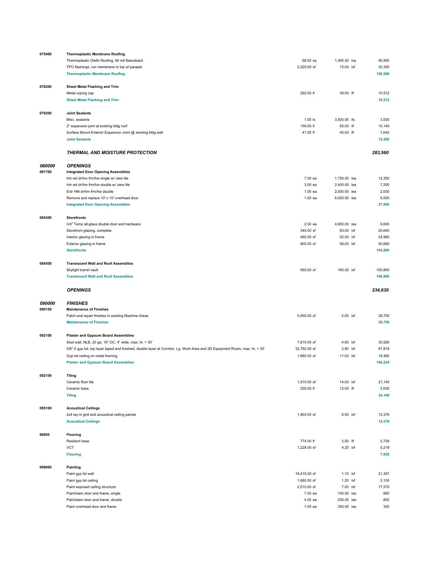| 075400 | <b>Thermoplastic Membrane Roofing</b>                                                                                      |              |              |         |
|--------|----------------------------------------------------------------------------------------------------------------------------|--------------|--------------|---------|
|        | Thermoplastic Olefin Roofing, 80 mil fleeceback                                                                            | 68.50 sq     | 1,400.00 /sq | 95,900  |
|        | TPO flashings, run membrane to top of parapet                                                                              | 2,020.00 sf  | 15.00 /sf    | 30,300  |
|        | <b>Thermoplastic Membrane Roofing</b>                                                                                      |              |              | 126,200 |
|        |                                                                                                                            |              |              |         |
| 076200 | Sheet Metal Flashing and Trim                                                                                              |              |              |         |
|        | Metal coping cap                                                                                                           | 292.00 lf    | 36.00 /lf    | 10,512  |
|        | <b>Sheet Metal Flashing and Trim</b>                                                                                       |              |              | 10,512  |
|        |                                                                                                                            |              |              |         |
| 079200 | <b>Joint Sealants</b>                                                                                                      |              |              |         |
|        | Misc. sealants                                                                                                             | $1.00$ $ls$  | 3,500.00 /ls | 3,500   |
|        | 2" expansion joint at existing bldg roof                                                                                   | 156.00 lf    | 65.00 /lf    | 10,140  |
|        | Surface Mount Exterior Expansion Joint @ existing bldg wall                                                                | 41.00 lf     | 40.00 /lf    | 1,640   |
|        | <b>Joint Sealants</b>                                                                                                      |              |              | 15,280  |
|        |                                                                                                                            |              |              |         |
|        | <b>THERMAL AND MOISTURE PROTECTION</b>                                                                                     |              |              | 283,560 |
|        |                                                                                                                            |              |              |         |
| 080000 | <b>OPENINGS</b>                                                                                                            |              |              |         |
| 081700 | <b>Integrated Door Opening Assemblies</b>                                                                                  |              |              |         |
|        | Intr wd dr/hm frm/hw single w/ view lite                                                                                   | 7.00 ea      | 1,750.00 /ea | 12,250  |
|        | Intr wd dr/hm frm/hw double w/ view lite                                                                                   | 3.00 ea      | 2,400.00 /ea | 7,200   |
|        | Extr HM dr/hm frm/hw double                                                                                                | 1.00 ea      | 2,000.00 /ea | 2,000   |
|        | Remove and replace 10' x 10' overhead door                                                                                 | 1.00 ea      | 6,500.00 /ea | 6,500   |
|        | <b>Integrated Door Opening Assemblies</b>                                                                                  |              |              | 27,950  |
|        |                                                                                                                            |              |              |         |
| 084300 | <b>Storefronts</b>                                                                                                         |              |              |         |
|        | 3/4" Temp all-glass double door and hardware                                                                               | 2.00 ea      | 4,800.00 /ea | 9,600   |
|        | Storefront glazing, complete                                                                                               | 344.00 sf    | 60.00 /sf    | 20,640  |
|        | Interior glazing in frame                                                                                                  | 480.00 sf    | 52.00 /sf    | 24,960  |
|        | Exterior glazing in frame                                                                                                  | 905.00 sf    | 56.00 /sf    | 50,680  |
|        | <b>Storefronts</b>                                                                                                         |              |              | 105,880 |
|        |                                                                                                                            |              |              |         |
| 084500 | <b>Translucent Wall and Roof Assemblies</b>                                                                                |              |              |         |
|        | Skylight barrel vault                                                                                                      | 560.00 sf    | 180.00 /sf   | 100,800 |
|        | <b>Translucent Wall and Roof Assemblies</b>                                                                                |              |              | 100,800 |
|        |                                                                                                                            |              |              |         |
|        |                                                                                                                            |              |              |         |
|        |                                                                                                                            |              |              |         |
|        | <b>OPENINGS</b>                                                                                                            |              |              | 234,630 |
|        |                                                                                                                            |              |              |         |
| 090000 | <b>FINISHES</b>                                                                                                            |              |              |         |
| 090100 | <b>Maintenance of Finishes</b>                                                                                             |              |              |         |
|        | Patch and repair finishes in existing Machine Areas                                                                        | 5,950.00 sf  | 5.00 /sf     | 29,750  |
|        | <b>Maintenance of Finishes</b>                                                                                             |              |              | 29,750  |
|        |                                                                                                                            |              |              |         |
| 092100 | <b>Plaster and Gypsum Board Assemblies</b>                                                                                 |              |              |         |
|        | Stud wall, NLB, 20 ga, 16" OC, 4" wide, max. ht. = 30'                                                                     | 7,810.00 sf  | 4.60 /sf     | 35,926  |
|        | 5/8" X gyp bd, top layer taped and finished, double layer at Corridor, Lg. Work Area and 3D Equipment Room, max. ht. = 30' | 32,792.00 sf | $2.80$ /sf   | 91,818  |
|        | Gyp bd ceiling on metal framing                                                                                            | 1,680.00 sf  | 11.00 /sf    | 18,480  |
|        | <b>Plaster and Gypsum Board Assemblies</b>                                                                                 |              |              | 146,224 |
|        |                                                                                                                            |              |              |         |
| 092100 | <b>Tiling</b>                                                                                                              |              |              |         |
|        | Ceramic floor tile                                                                                                         | 1,510.00 sf  | 14.00 /sf    | 21,140  |
|        | Ceramic base                                                                                                               | 250.00 lf    | 12.00 /lf    | 3,000   |
|        | <b>Tiling</b>                                                                                                              |              |              | 24,140  |
|        |                                                                                                                            |              |              |         |
| 095100 | <b>Acoustical Ceilings</b>                                                                                                 |              |              |         |
|        | 2x4 lay-in grid and acoustical ceiling panels                                                                              | 1,904.00 sf  | 6.50 /sf     | 12,376  |
|        | <b>Acoustical Ceilings</b>                                                                                                 |              |              | 12,376  |
|        |                                                                                                                            |              |              |         |
| 96000  | Flooring                                                                                                                   |              |              |         |
|        | Resilient base                                                                                                             | 774.00 lf    | 3.50 /lf     | 2,709   |
|        | <b>VCT</b>                                                                                                                 | 1,228.00 sf  | 4.25 /sf     | 5,219   |
|        | <b>Flooring</b>                                                                                                            |              |              | 7,928   |
|        |                                                                                                                            |              |              |         |
| 099000 | Painting                                                                                                                   |              |              |         |
|        | Paint gyp bd wall                                                                                                          | 19,415.00 sf | $1.10$ /sf   | 21,357  |
|        | Paint gyp bd ceiling                                                                                                       | 1,680.00 sf  | $1.25$ /sf   | 2,100   |
|        | Paint exposed ceiling structure                                                                                            | 2,510.00 sf  | 7.00 /sf     | 17,570  |
|        | Paint/stain door and frame, single                                                                                         | 7.00 ea      | 140.00 /ea   | 980     |
|        | Paint/stain door and frame, double                                                                                         | 4.00 ea      | 200.00 /ea   | 800     |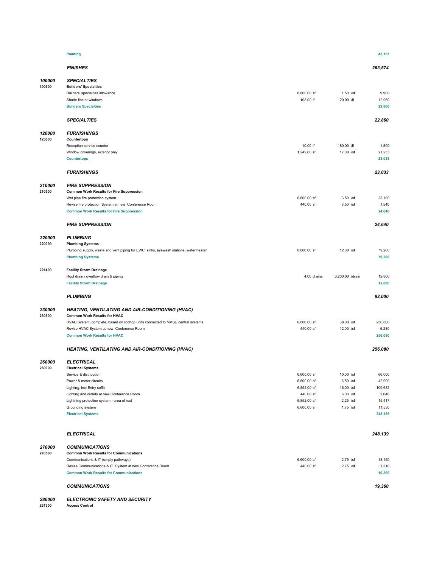|                  | <b>Painting</b>                                                                                                                                                                                                                                     |                          |                          | 43,157                              |
|------------------|-----------------------------------------------------------------------------------------------------------------------------------------------------------------------------------------------------------------------------------------------------|--------------------------|--------------------------|-------------------------------------|
|                  | <b>FINISHES</b>                                                                                                                                                                                                                                     |                          |                          | 263,574                             |
| 100000<br>100500 | <b>SPECIALTIES</b><br><b>Builders' Specialties</b><br>Builders' specialties allowance<br>Shade fins at windows<br><b>Builders Specialties</b>                                                                                                       | 6,600.00 sf<br>108.00 lf | $1.50$ /sf<br>120.00 /lf | 9,900<br>12,960<br>22,860           |
|                  | <b>SPECIALTIES</b>                                                                                                                                                                                                                                  |                          |                          | 22,860                              |
| 120000<br>123600 | <b>FURNISHINGS</b><br>Countertops<br>Reception service counter<br>Window coverings, exterior only<br><b>Countertops</b>                                                                                                                             | 10.00 lf<br>1,249.00 sf  | 180.00 /lf<br>17.00 /sf  | 1,800<br>21,233<br>23,033           |
|                  | <b>FURNISHINGS</b>                                                                                                                                                                                                                                  |                          |                          | 23,033                              |
| 210000<br>210500 | <b>FIRE SUPPRESSION</b><br><b>Common Work Results for Fire Suppression</b><br>Wet pipe fire protection system<br>Revise fire protection System at new Conference Room<br><b>Common Work Results for Fire Suppression</b><br><b>FIRE SUPPRESSION</b> | 6,600.00 sf<br>440.00 sf | $3.50$ /sf<br>$3.50$ /sf | 23,100<br>1,540<br>24,640<br>24,640 |
| 220000<br>220099 | <b>PLUMBING</b><br><b>Plumbing Systems</b>                                                                                                                                                                                                          |                          |                          |                                     |
|                  | Plumbing supply, waste and vent piping for EWC, sinks, eyewash stations, water heater<br><b>Plumbing Systems</b>                                                                                                                                    | 6,600.00 sf              | 12.00 /sf                | 79,200<br>79,200                    |
| 221400           | <b>Facility Storm Drainage</b><br>Roof drain / overflow drain & piping<br><b>Facility Storm Drainage</b>                                                                                                                                            | 4.00 drains              | 3,200.00 /drain          | 12,800<br>12,800                    |
|                  | <b>PLUMBING</b>                                                                                                                                                                                                                                     |                          |                          | 92,000                              |
| 230000<br>230500 | <b>HEATING, VENTILATING AND AIR-CONDITIONING (HVAC)</b><br><b>Common Work Results for HVAC</b>                                                                                                                                                      |                          |                          |                                     |
|                  | HVAC System, complete, based on rooftop units connected to NMSU central systems                                                                                                                                                                     | 6,600.00 sf              | 38.00 /sf                | 250,800                             |
|                  | Revise HVAC System at new Conference Room<br><b>Common Work Results for HVAC</b>                                                                                                                                                                    | 440.00 sf                | 12.00 /sf                | 5,280<br>256,080                    |
|                  | <b>HEATING, VENTILATING AND AIR-CONDITIONING (HVAC)</b>                                                                                                                                                                                             |                          |                          | 256,080                             |
| 260000<br>260099 | <b>ELECTRICAL</b><br><b>Electrical Systems</b>                                                                                                                                                                                                      |                          |                          |                                     |
|                  | Service & distribution                                                                                                                                                                                                                              | 6,600.00 sf              | 10.00 /sf                | 66,000                              |
|                  | Power & motor circuits                                                                                                                                                                                                                              | 6,600.00 sf              | $6.50$ /sf               | 42,900                              |
|                  | Lighting, incl Entry soffit                                                                                                                                                                                                                         | 6,852.00 sf<br>440.00 sf | 16.00 /sf<br>$6.00$ /sf  | 109,632<br>2,640                    |
|                  | Lighting and outlets at new Conference Room<br>Lightning protection system - area of roof                                                                                                                                                           | 6,852.00 sf              | $2.25$ /sf               | 15,417                              |
|                  | Grounding system                                                                                                                                                                                                                                    | 6,600.00 sf              | $1.75$ /sf               | 11,550                              |
|                  | <b>Electrical Systems</b>                                                                                                                                                                                                                           |                          |                          | 248,139                             |
|                  | <b>ELECTRICAL</b>                                                                                                                                                                                                                                   |                          |                          | 248,139                             |
| 270000<br>270500 | <b>COMMUNICATIONS</b><br><b>Common Work Results for Communications</b>                                                                                                                                                                              |                          |                          |                                     |
|                  | Communications & IT (empty pathways)                                                                                                                                                                                                                | 6,600.00 sf              | $2.75$ /sf               | 18,150                              |
|                  | Revise Communications & IT System at new Conference Room<br><b>Common Work Results for Communications</b>                                                                                                                                           | 440.00 sf                | $2.75$ /sf               | 1,210<br>19,360                     |
|                  | <b>COMMUNICATIONS</b>                                                                                                                                                                                                                               |                          |                          | 19,360                              |

*280000 ELECTRONIC SAFETY AND SECURITY* **281300 Access Control**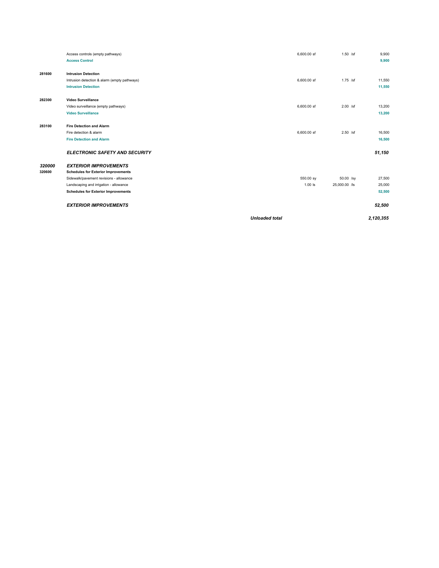|        | Access controls (empty pathways)             | 6,600.00 sf           | $1.50$ /sf    | 9,900     |
|--------|----------------------------------------------|-----------------------|---------------|-----------|
|        | <b>Access Control</b>                        |                       |               | 9,900     |
|        |                                              |                       |               |           |
| 281600 | <b>Intrusion Detection</b>                   |                       |               |           |
|        | Intrusion detection & alarm (empty pathways) | 6,600.00 sf           | $1.75$ /sf    | 11,550    |
|        | <b>Intrusion Detection</b>                   |                       |               | 11,550    |
|        |                                              |                       |               |           |
| 282300 | <b>Video Surveillance</b>                    |                       |               |           |
|        | Video surveillance (empty pathways)          | 6,600.00 sf           | $2.00$ /sf    | 13,200    |
|        | <b>Video Surveillance</b>                    |                       |               | 13,200    |
| 283100 | <b>Fire Detection and Alarm</b>              |                       |               |           |
|        | Fire detection & alarm                       | 6,600.00 sf           | $2.50$ /sf    | 16,500    |
|        | <b>Fire Detection and Alarm</b>              |                       |               | 16,500    |
|        |                                              |                       |               |           |
|        | <b>ELECTRONIC SAFETY AND SECURITY</b>        |                       |               | 51,150    |
| 320000 | <b>EXTERIOR IMPROVEMENTS</b>                 |                       |               |           |
| 320600 | <b>Schedules for Exterior Improvements</b>   |                       |               |           |
|        | Sidewalk/pavement revisions - allowance      | 550.00 sy             | 50.00 /sy     | 27,500    |
|        | Landscaping and irrigation - allowance       | $1.00$ $ls$           | 25,000.00 /ls | 25,000    |
|        | <b>Schedules for Exterior Improvements</b>   |                       |               | 52,500    |
|        | <b>EXTERIOR IMPROVEMENTS</b>                 |                       |               | 52,500    |
|        |                                              | <b>Unloaded total</b> |               | 2,120,355 |